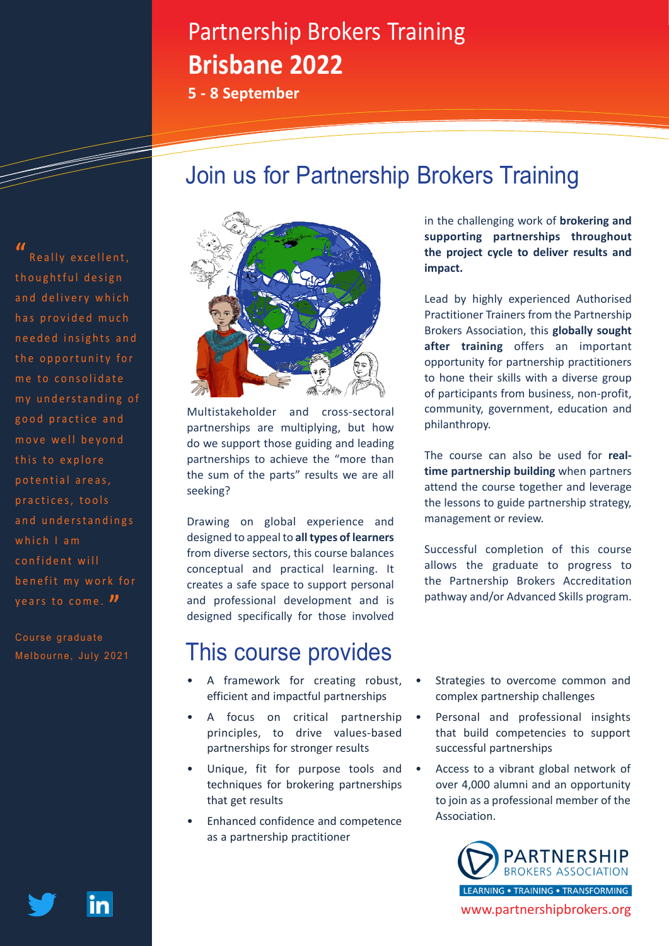# Partnership Brokers Training **Brisbane 2022**

**5 - 8 September**

# Join us for Partnership Brokers Training

**"** Really excellent, thoughtful design and delivery which has provided much needed insights and the opportunity for me to consolidate my understanding of good practice and move well bevond this to explore p o t e n t i a l a r e a s . practices, tools and understandings which  $l$  am confident will benefit my work for years to come. **"**

Course graduate Melbourne, July 2021



Multistakeholder and cross-sectoral partnerships are multiplying, but how do we support those guiding and leading partnerships to achieve the "more than the sum of the parts" results we are all seeking?

Drawing on global experience and designed to appeal to **all types of learners**  from diverse sectors, this course balances conceptual and practical learning. It creates a safe space to support personal and professional development and is designed specifically for those involved

### This course provides

- A framework for creating robust, efficient and impactful partnerships
- A focus on critical partnership principles, to drive values-based partnerships for stronger results
- Unique, fit for purpose tools and techniques for brokering partnerships that get results
- Enhanced confidence and competence as a partnership practitioner

in the challenging work of **brokering and supporting partnerships throughout the project cycle to deliver results and impact.**

Lead by highly experienced Authorised Practitioner Trainers from the Partnership Brokers Association, this **globally sought after training** offers an important opportunity for partnership practitioners to hone their skills with a diverse group of participants from business, non-profit, community, government, education and philanthropy.

The course can also be used for **realtime partnership building** when partners attend the course together and leverage the lessons to guide partnership strategy, management or review.

Successful completion of this course allows the graduate to progress to the Partnership Brokers Accreditation pathway and/or Advanced Skills program.

- Strategies to overcome common and complex partnership challenges
- Personal and professional insights that build competencies to support successful partnerships
- Access to a vibrant global network of over 4,000 alumni and an opportunity to join as a professional member of the Association.



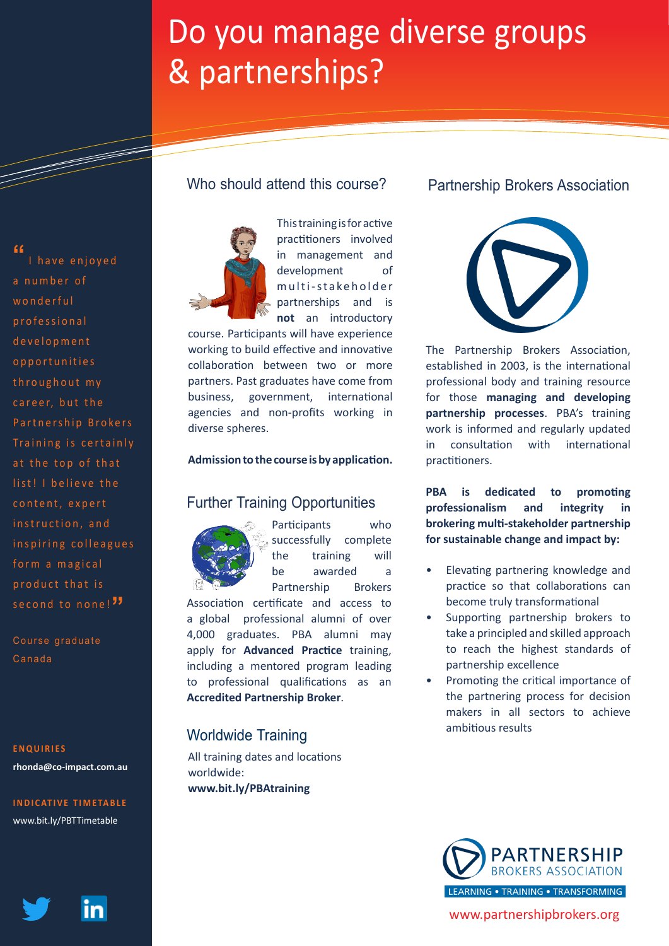# Do you manage diverse groups & partnerships?

**"**

<u>Santa Baratas de Brasilia (Carlin de Brasilia) e do anti-</u>

I have enjoved a number of wonderful professional d e v e l o p m e n t o p p o r t u n i t i e s throughout my career, but the Partnership Brokers Training is certainly at the top of that list! I believe the content, expert instruction, and inspiring colleagues form a magical p r o d u c t that is second to none!<sup>"</sup>

Course graduate Canada

#### **ENQUIRIES**

**rhonda@co-impact.com.au**

**[INDICATIVE TIMETABLE](https://partnershipbrokers.org/w/wp-content/uploads/2016/03/PBT-Indicative-Timetable.pdf)** [www.bit.ly/PBTTimetable](https://partnershipbrokers.org/w/wp-content/uploads/2016/03/PBT-Indicative-Timetable.pdf)



### Who should attend this course?



This training is for active practitioners involved in management and development of m ulti-stakeholder partnerships and is **not** an introductory

course. Participants will have experience working to build effective and innovative collaboration between two or more partners. Past graduates have come from business, government, international agencies and non-profits working in diverse spheres.

#### **Admission to the course is by application.**

### Further Training Opportunities



Participants who successfully complete the training will be awarded a Partnership Brokers

Association certificate and access to a global professional alumni of over 4,000 graduates. PBA alumni may apply for **[Advanced Practice](https://partnershipbrokers.org/w/training/level2/)** training, including a mentored program leading to professional qualifications as an **[Accredited Partnership Broker](https://partnershipbrokers.org/w/training/accreditation/)**.

### ambitious results Worldwide Training

All training dates and locations worldwide: **[www.bit.ly/PBAtraining](http://www.bit.ly/PBAtraining)**

### Partnership Brokers Association



The Partnership Brokers Association, established in 2003, is the international professional body and training resource for those **managing and developing partnership processes**. PBA's training work is informed and regularly updated in consultation with international practitioners.

**PBA is dedicated to promoting professionalism and integrity in brokering multi-stakeholder partnership for sustainable change and impact by:**

- Elevating partnering knowledge and practice so that collaborations can become truly transformational
- Supporting partnership brokers to take a principled and skilled approach to reach the highest standards of partnership excellence
- Promoting the critical importance of the partnering process for decision makers in all sectors to achieve



[www.partnershipbrokers.org](https://partnershipbrokers.org/)